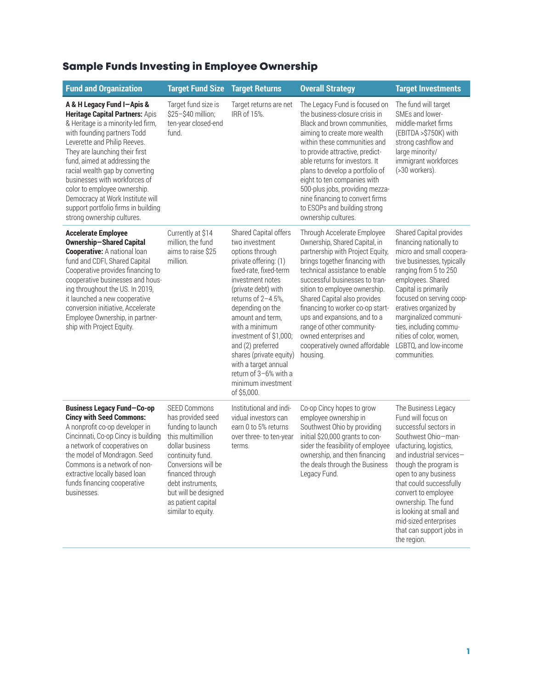| <b>Fund and Organization</b>                                                                                                                                                                                                                                                                                                                                                                                                                       | <b>Target Fund Size</b>                                                                                                                                                                                                                                       | <b>Target Returns</b>                                                                                                                                                                                                                                                                                                                                                                                    | <b>Overall Strategy</b>                                                                                                                                                                                                                                                                                                                                                                                                                         | <b>Target Investments</b>                                                                                                                                                                                                                                                                                                                                                |
|----------------------------------------------------------------------------------------------------------------------------------------------------------------------------------------------------------------------------------------------------------------------------------------------------------------------------------------------------------------------------------------------------------------------------------------------------|---------------------------------------------------------------------------------------------------------------------------------------------------------------------------------------------------------------------------------------------------------------|----------------------------------------------------------------------------------------------------------------------------------------------------------------------------------------------------------------------------------------------------------------------------------------------------------------------------------------------------------------------------------------------------------|-------------------------------------------------------------------------------------------------------------------------------------------------------------------------------------------------------------------------------------------------------------------------------------------------------------------------------------------------------------------------------------------------------------------------------------------------|--------------------------------------------------------------------------------------------------------------------------------------------------------------------------------------------------------------------------------------------------------------------------------------------------------------------------------------------------------------------------|
| A & H Legacy Fund I-Apis &<br>Heritage Capital Partners: Apis<br>& Heritage is a minority-led firm,<br>with founding partners Todd<br>Leverette and Philip Reeves.<br>They are launching their first<br>fund, aimed at addressing the<br>racial wealth gap by converting<br>businesses with workforces of<br>color to employee ownership.<br>Democracy at Work Institute will<br>support portfolio firms in building<br>strong ownership cultures. | Target fund size is<br>\$25-\$40 million;<br>ten-year closed-end<br>fund.                                                                                                                                                                                     | Target returns are net<br>IRR of 15%.                                                                                                                                                                                                                                                                                                                                                                    | The Legacy Fund is focused on<br>the business-closure crisis in<br>Black and brown communities,<br>aiming to create more wealth<br>within these communities and<br>to provide attractive, predict-<br>able returns for investors. It<br>plans to develop a portfolio of<br>eight to ten companies with<br>500-plus jobs, providing mezza-<br>nine financing to convert firms<br>to ESOPs and building strong<br>ownership cultures.             | The fund will target<br>SMEs and lower-<br>middle-market firms<br>(EBITDA >\$750K) with<br>strong cashflow and<br>large minority/<br>immigrant workforces<br>(>30 workers).                                                                                                                                                                                              |
| <b>Accelerate Employee</b><br><b>Ownership-Shared Capital</b><br><b>Cooperative:</b> A national loan<br>fund and CDFI, Shared Capital<br>Cooperative provides financing to<br>cooperative businesses and hous-<br>ing throughout the US. In 2019,<br>it launched a new cooperative<br>conversion initiative, Accelerate<br>Employee Ownership, in partner-<br>ship with Project Equity.                                                            | Currently at \$14<br>million, the fund<br>aims to raise \$25<br>million.                                                                                                                                                                                      | Shared Capital offers<br>two investment<br>options through<br>private offering: (1)<br>fixed-rate, fixed-term<br>investment notes<br>(private debt) with<br>returns of 2-4.5%,<br>depending on the<br>amount and term,<br>with a minimum<br>investment of \$1,000;<br>and (2) preferred<br>shares (private equity)<br>with a target annual<br>return of 3-6% with a<br>minimum investment<br>of \$5,000. | Through Accelerate Employee<br>Ownership, Shared Capital, in<br>partnership with Project Equity,<br>brings together financing with<br>technical assistance to enable<br>successful businesses to tran-<br>sition to employee ownership.<br>Shared Capital also provides<br>financing to worker co-op start-<br>ups and expansions, and to a<br>range of other community-<br>owned enterprises and<br>cooperatively owned affordable<br>housing. | Shared Capital provides<br>financing nationally to<br>micro and small coopera-<br>tive businesses, typically<br>ranging from 5 to 250<br>employees. Shared<br>Capital is primarily<br>focused on serving coop-<br>eratives organized by<br>marginalized communi-<br>ties, including commu-<br>nities of color, women,<br>LGBTQ, and low-income<br>communities.           |
| <b>Business Legacy Fund-Co-op</b><br><b>Cincy with Seed Commons:</b><br>A nonprofit co-op developer in<br>Cincinnati, Co-op Cincy is building<br>a network of cooperatives on<br>the model of Mondragon. Seed<br>Commons is a network of non-<br>extractive locally based loan<br>funds financing cooperative<br>businesses.                                                                                                                       | <b>SEED Commons</b><br>has provided seed<br>funding to launch<br>this multimillion<br>dollar business<br>continuity fund.<br>Conversions will be<br>financed through<br>debt instruments,<br>but will be designed<br>as patient capital<br>similar to equity. | Institutional and indi-<br>vidual investors can<br>earn 0 to 5% returns<br>over three- to ten-year<br>terms.                                                                                                                                                                                                                                                                                             | Co-op Cincy hopes to grow<br>employee ownership in<br>Southwest Ohio by providing<br>initial \$20,000 grants to con-<br>sider the feasibility of employee<br>ownership, and then financing<br>the deals through the Business<br>Legacy Fund.                                                                                                                                                                                                    | The Business Legacy<br>Fund will focus on<br>successful sectors in<br>Southwest Ohio-man-<br>ufacturing, logistics,<br>and industrial services-<br>though the program is<br>open to any business<br>that could successfully<br>convert to employee<br>ownership. The fund<br>is looking at small and<br>mid-sized enterprises<br>that can support jobs in<br>the region. |

## Sample Funds Investing in Employee Ownership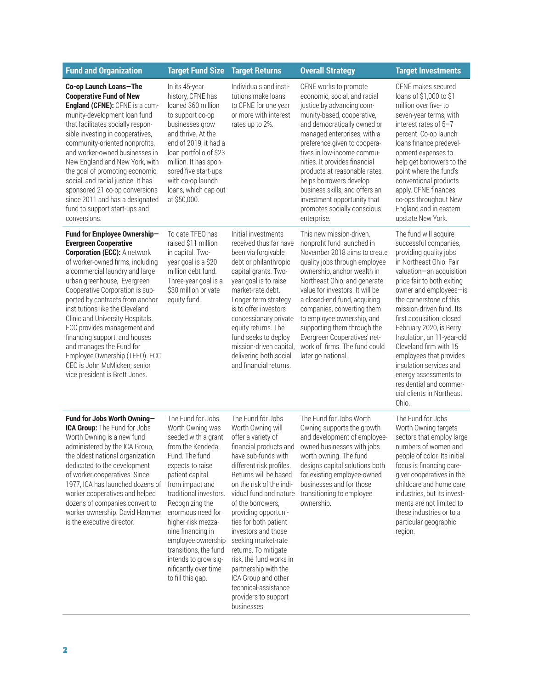| <b>Fund and Organization</b>                                                                                                                                                                                                                                                                                                                                                                                                                                                                                                                          | <b>Target Fund Size</b>                                                                                                                                                                                                                                                                                                                                                                       | <b>Target Returns</b>                                                                                                                                                                                                                                                                                                                                                                                                                                                                                         | <b>Overall Strategy</b>                                                                                                                                                                                                                                                                                                                                                                                                                                  | <b>Target Investments</b>                                                                                                                                                                                                                                                                                                                                                                                                                                                                                      |
|-------------------------------------------------------------------------------------------------------------------------------------------------------------------------------------------------------------------------------------------------------------------------------------------------------------------------------------------------------------------------------------------------------------------------------------------------------------------------------------------------------------------------------------------------------|-----------------------------------------------------------------------------------------------------------------------------------------------------------------------------------------------------------------------------------------------------------------------------------------------------------------------------------------------------------------------------------------------|---------------------------------------------------------------------------------------------------------------------------------------------------------------------------------------------------------------------------------------------------------------------------------------------------------------------------------------------------------------------------------------------------------------------------------------------------------------------------------------------------------------|----------------------------------------------------------------------------------------------------------------------------------------------------------------------------------------------------------------------------------------------------------------------------------------------------------------------------------------------------------------------------------------------------------------------------------------------------------|----------------------------------------------------------------------------------------------------------------------------------------------------------------------------------------------------------------------------------------------------------------------------------------------------------------------------------------------------------------------------------------------------------------------------------------------------------------------------------------------------------------|
| Co-op Launch Loans-The<br><b>Cooperative Fund of New</b><br>England (CFNE): CFNE is a com-<br>munity-development loan fund<br>that facilitates socially respon-<br>sible investing in cooperatives,<br>community-oriented nonprofits,<br>and worker-owned businesses in<br>New England and New York, with<br>the goal of promoting economic,<br>social, and racial justice. It has<br>sponsored 21 co-op conversions<br>since 2011 and has a designated<br>fund to support start-ups and<br>conversions.                                              | In its 45-year<br>history, CFNE has<br>loaned \$60 million<br>to support co-op<br>businesses grow<br>and thrive. At the<br>end of 2019, it had a<br>loan portfolio of \$23<br>million. It has spon-<br>sored five start-ups<br>with co-op launch<br>loans, which cap out<br>at \$50,000.                                                                                                      | Individuals and insti-<br>tutions make loans<br>to CFNE for one year<br>or more with interest<br>rates up to 2%.                                                                                                                                                                                                                                                                                                                                                                                              | CFNE works to promote<br>economic, social, and racial<br>justice by advancing com-<br>munity-based, cooperative,<br>and democratically owned or<br>managed enterprises, with a<br>preference given to coopera-<br>tives in low-income commu-<br>nities. It provides financial<br>products at reasonable rates,<br>helps borrowers develop<br>business skills, and offers an<br>investment opportunity that<br>promotes socially conscious<br>enterprise. | CFNE makes secured<br>loans of \$1,000 to \$1<br>million over five-to<br>seven-year terms, with<br>interest rates of 5-7<br>percent. Co-op launch<br>loans finance predevel-<br>opment expenses to<br>help get borrowers to the<br>point where the fund's<br>conventional products<br>apply. CFNE finances<br>co-ops throughout New<br>England and in eastern<br>upstate New York.                                                                                                                             |
| Fund for Employee Ownership-<br><b>Evergreen Cooperative</b><br><b>Corporation (ECC): A network</b><br>of worker-owned firms, including<br>a commercial laundry and large<br>urban greenhouse, Evergreen<br>Cooperative Corporation is sup-<br>ported by contracts from anchor<br>institutions like the Cleveland<br>Clinic and University Hospitals.<br>ECC provides management and<br>financing support, and houses<br>and manages the Fund for<br>Employee Ownership (TFEO). ECC<br>CEO is John McMicken; senior<br>vice president is Brett Jones. | To date TFEO has<br>raised \$11 million<br>in capital. Two-<br>year goal is a \$20<br>million debt fund.<br>Three-year goal is a<br>\$30 million private<br>equity fund.                                                                                                                                                                                                                      | Initial investments<br>received thus far have<br>been via forgivable<br>debt or philanthropic<br>capital grants. Two-<br>year goal is to raise<br>market-rate debt.<br>Longer term strategy<br>is to offer investors<br>concessionary private<br>equity returns. The<br>fund seeks to deploy<br>mission-driven capital,<br>delivering both social<br>and financial returns.                                                                                                                                   | This new mission-driven,<br>nonprofit fund launched in<br>November 2018 aims to create<br>quality jobs through employee<br>ownership, anchor wealth in<br>Northeast Ohio, and generate<br>value for investors. It will be<br>a closed-end fund, acquiring<br>companies, converting them<br>to employee ownership, and<br>supporting them through the<br>Evergreen Cooperatives' net-<br>work of firms. The fund could<br>later go national.              | The fund will acquire<br>successful companies,<br>providing quality jobs<br>in Northeast Ohio. Fair<br>valuation-an acquisition<br>price fair to both exiting<br>owner and employees-is<br>the cornerstone of this<br>mission-driven fund. Its<br>first acquisition, closed<br>February 2020, is Berry<br>Insulation, an 11-year-old<br>Cleveland firm with 15<br>employees that provides<br>insulation services and<br>energy assessments to<br>residential and commer-<br>cial clients in Northeast<br>Ohio. |
| Fund for Jobs Worth Owning-<br><b>ICA Group:</b> The Fund for Jobs<br>Worth Owning is a new fund<br>administered by the ICA Group,<br>the oldest national organization<br>dedicated to the development<br>of worker cooperatives. Since<br>1977, ICA has launched dozens of<br>worker cooperatives and helped<br>dozens of companies convert to<br>worker ownership. David Hammer<br>is the executive director.                                                                                                                                       | The Fund for Jobs<br>Worth Owning was<br>seeded with a grant<br>from the Kendeda<br>Fund. The fund<br>expects to raise<br>patient capital<br>from impact and<br>traditional investors.<br>Recognizing the<br>enormous need for<br>higher-risk mezza-<br>nine financing in<br>employee ownership<br>transitions, the fund<br>intends to grow sig-<br>nificantly over time<br>to fill this gap. | The Fund for Jobs<br>Worth Owning will<br>offer a variety of<br>financial products and<br>have sub-funds with<br>different risk profiles.<br>Returns will be based<br>on the risk of the indi-<br>vidual fund and nature<br>of the borrowers,<br>providing opportuni-<br>ties for both patient<br>investors and those<br>seeking market-rate<br>returns. To mitigate<br>risk, the fund works in<br>partnership with the<br>ICA Group and other<br>technical-assistance<br>providers to support<br>businesses. | The Fund for Jobs Worth<br>Owning supports the growth<br>and development of employee-<br>owned businesses with jobs<br>worth owning. The fund<br>designs capital solutions both<br>for existing employee-owned<br>businesses and for those<br>transitioning to employee<br>ownership.                                                                                                                                                                    | The Fund for Jobs<br>Worth Owning targets<br>sectors that employ large<br>numbers of women and<br>people of color. Its initial<br>focus is financing care-<br>giver cooperatives in the<br>childcare and home care<br>industries, but its invest-<br>ments are not limited to<br>these industries or to a<br>particular geographic<br>region.                                                                                                                                                                  |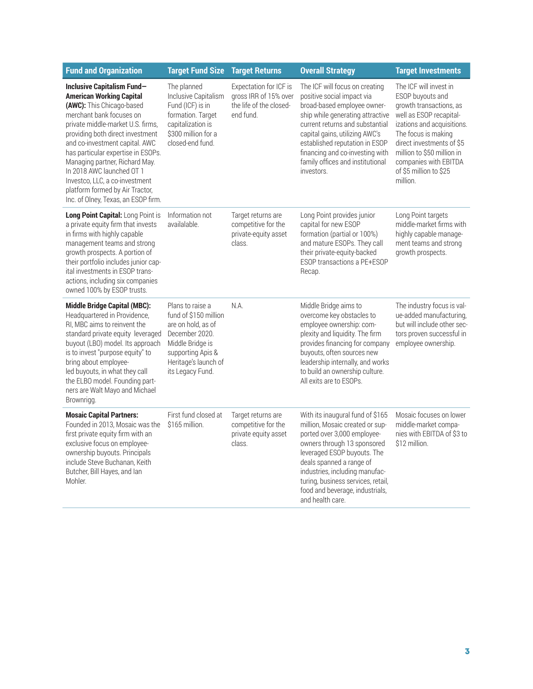| <b>Fund and Organization</b>                                                                                                                                                                                                                                                                                                                                                                                                                       | <b>Target Fund Size</b>                                                                                                                                                | <b>Target Returns</b>                                                                   | <b>Overall Strategy</b>                                                                                                                                                                                                                                                                                                     | <b>Target Investments</b>                                                                                                                                                                                                                                                       |
|----------------------------------------------------------------------------------------------------------------------------------------------------------------------------------------------------------------------------------------------------------------------------------------------------------------------------------------------------------------------------------------------------------------------------------------------------|------------------------------------------------------------------------------------------------------------------------------------------------------------------------|-----------------------------------------------------------------------------------------|-----------------------------------------------------------------------------------------------------------------------------------------------------------------------------------------------------------------------------------------------------------------------------------------------------------------------------|---------------------------------------------------------------------------------------------------------------------------------------------------------------------------------------------------------------------------------------------------------------------------------|
| Inclusive Capitalism Fund-<br><b>American Working Capital</b><br>(AWC): This Chicago-based<br>merchant bank focuses on<br>private middle-market U.S. firms,<br>providing both direct investment<br>and co-investment capital. AWC<br>has particular expertise in ESOPs.<br>Managing partner, Richard May.<br>In 2018 AWC launched OT 1<br>Investco, LLC, a co-investment<br>platform formed by Air Tractor,<br>Inc. of Olney, Texas, an ESOP firm. | The planned<br>Inclusive Capitalism<br>Fund (ICF) is in<br>formation. Target<br>capitalization is<br>\$300 million for a<br>closed-end fund.                           | Expectation for ICF is<br>gross IRR of 15% over<br>the life of the closed-<br>end fund. | The ICF will focus on creating<br>positive social impact via<br>broad-based employee owner-<br>ship while generating attractive<br>current returns and substantial<br>capital gains, utilizing AWC's<br>established reputation in ESOP<br>financing and co-investing with<br>family offices and institutional<br>investors. | The ICF will invest in<br>ESOP buyouts and<br>growth transactions, as<br>well as ESOP recapital-<br>izations and acquisitions.<br>The focus is making<br>direct investments of \$5<br>million to \$50 million in<br>companies with EBITDA<br>of \$5 million to \$25<br>million. |
| Long Point Capital: Long Point is<br>a private equity firm that invests<br>in firms with highly capable<br>management teams and strong<br>growth prospects. A portion of<br>their portfolio includes junior cap-<br>ital investments in ESOP trans-<br>actions, including six companies<br>owned 100% by ESOP trusts.                                                                                                                              | Information not<br>availalable.                                                                                                                                        | Target returns are<br>competitive for the<br>private-equity asset<br>class.             | Long Point provides junior<br>capital for new ESOP<br>formation (partial or 100%)<br>and mature ESOPs. They call<br>their private-equity-backed<br>ESOP transactions a PE+ESOP<br>Recap.                                                                                                                                    | Long Point targets<br>middle-market firms with<br>highly capable manage-<br>ment teams and strong<br>growth prospects.                                                                                                                                                          |
| <b>Middle Bridge Capital (MBC):</b><br>Headquartered in Providence,<br>RI, MBC aims to reinvent the<br>standard private equity leveraged<br>buyout (LBO) model. Its approach<br>is to invest "purpose equity" to<br>bring about employee-<br>led buyouts, in what they call<br>the ELBO model. Founding part-<br>ners are Walt Mayo and Michael<br>Brownrigg.                                                                                      | Plans to raise a<br>fund of \$150 million<br>are on hold, as of<br>December 2020.<br>Middle Bridge is<br>supporting Apis &<br>Heritage's launch of<br>its Legacy Fund. | N.A.                                                                                    | Middle Bridge aims to<br>overcome key obstacles to<br>employee ownership: com-<br>plexity and liquidity. The firm<br>provides financing for company<br>buyouts, often sources new<br>leadership internally, and works<br>to build an ownership culture.<br>All exits are to ESOPs.                                          | The industry focus is val-<br>ue-added manufacturing,<br>but will include other sec-<br>tors proven successful in<br>employee ownership.                                                                                                                                        |
| <b>Mosaic Capital Partners:</b><br>Founded in 2013. Mosaic was the<br>first private equity firm with an<br>exclusive focus on employee-<br>ownership buyouts. Principals<br>include Steve Buchanan, Keith<br>Butcher, Bill Hayes, and Ian<br>Mohler.                                                                                                                                                                                               | First fund closed at<br>\$165 million.                                                                                                                                 | Target returns are<br>competitive for the<br>private equity asset<br>class.             | With its inaugural fund of \$165<br>million, Mosaic created or sup-<br>ported over 3,000 employee-<br>owners through 13 sponsored<br>leveraged ESOP buyouts. The<br>deals spanned a range of<br>industries, including manufac-<br>turing, business services, retail,<br>food and beverage, industrials,<br>and health care. | Mosaic focuses on lower<br>middle-market compa-<br>nies with EBITDA of \$3 to<br>\$12 million.                                                                                                                                                                                  |